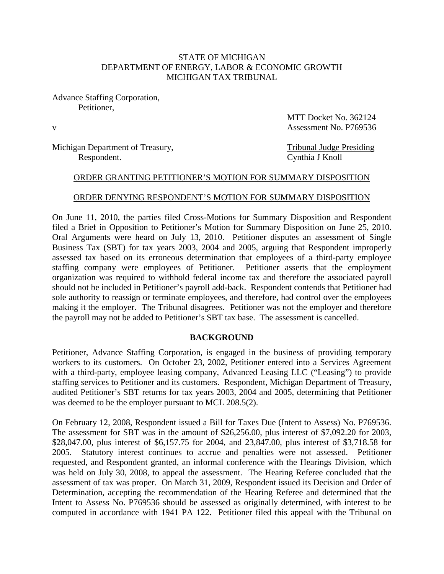## STATE OF MICHIGAN DEPARTMENT OF ENERGY, LABOR & ECONOMIC GROWTH MICHIGAN TAX TRIBUNAL

Advance Staffing Corporation, Petitioner,

MTT Docket No. 362124 v Assessment No. P769536

Michigan Department of Treasury,<br>
Respondent.<br>
Cynthia J Knoll

Cynthia J Knoll

#### ORDER GRANTING PETITIONER'S MOTION FOR SUMMARY DISPOSITION

#### ORDER DENYING RESPONDENT'S MOTION FOR SUMMARY DISPOSITION

On June 11, 2010, the parties filed Cross-Motions for Summary Disposition and Respondent filed a Brief in Opposition to Petitioner's Motion for Summary Disposition on June 25, 2010. Oral Arguments were heard on July 13, 2010. Petitioner disputes an assessment of Single Business Tax (SBT) for tax years 2003, 2004 and 2005, arguing that Respondent improperly assessed tax based on its erroneous determination that employees of a third-party employee staffing company were employees of Petitioner. Petitioner asserts that the employment organization was required to withhold federal income tax and therefore the associated payroll should not be included in Petitioner's payroll add-back. Respondent contends that Petitioner had sole authority to reassign or terminate employees, and therefore, had control over the employees making it the employer. The Tribunal disagrees. Petitioner was not the employer and therefore the payroll may not be added to Petitioner's SBT tax base. The assessment is cancelled.

#### **BACKGROUND**

Petitioner, Advance Staffing Corporation, is engaged in the business of providing temporary workers to its customers. On October 23, 2002, Petitioner entered into a Services Agreement with a third-party, employee leasing company, Advanced Leasing LLC ("Leasing") to provide staffing services to Petitioner and its customers. Respondent, Michigan Department of Treasury, audited Petitioner's SBT returns for tax years 2003, 2004 and 2005, determining that Petitioner was deemed to be the employer pursuant to MCL 208.5(2).

On February 12, 2008, Respondent issued a Bill for Taxes Due (Intent to Assess) No. P769536. The assessment for SBT was in the amount of \$26,256.00, plus interest of \$7,092.20 for 2003, \$28,047.00, plus interest of \$6,157.75 for 2004, and 23,847.00, plus interest of \$3,718.58 for 2005. Statutory interest continues to accrue and penalties were not assessed. Petitioner requested, and Respondent granted, an informal conference with the Hearings Division, which was held on July 30, 2008, to appeal the assessment. The Hearing Referee concluded that the assessment of tax was proper. On March 31, 2009, Respondent issued its Decision and Order of Determination, accepting the recommendation of the Hearing Referee and determined that the Intent to Assess No. P769536 should be assessed as originally determined, with interest to be computed in accordance with 1941 PA 122. Petitioner filed this appeal with the Tribunal on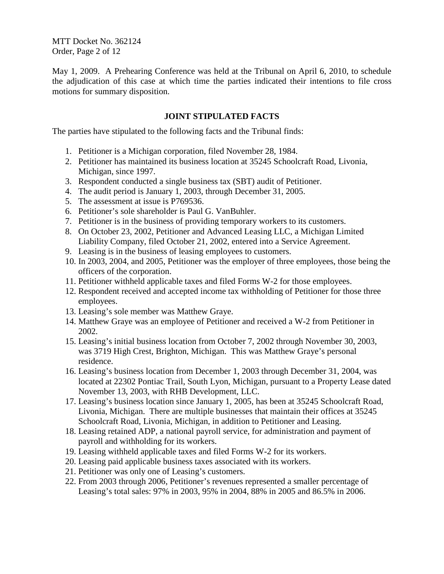MTT Docket No. 362124 Order, Page 2 of 12

May 1, 2009. A Prehearing Conference was held at the Tribunal on April 6, 2010, to schedule the adjudication of this case at which time the parties indicated their intentions to file cross motions for summary disposition.

## **JOINT STIPULATED FACTS**

The parties have stipulated to the following facts and the Tribunal finds:

- 1. Petitioner is a Michigan corporation, filed November 28, 1984.
- 2. Petitioner has maintained its business location at 35245 Schoolcraft Road, Livonia, Michigan, since 1997.
- 3. Respondent conducted a single business tax (SBT) audit of Petitioner.
- 4. The audit period is January 1, 2003, through December 31, 2005.
- 5. The assessment at issue is P769536.
- 6. Petitioner's sole shareholder is Paul G. VanBuhler.
- 7. Petitioner is in the business of providing temporary workers to its customers.
- 8. On October 23, 2002, Petitioner and Advanced Leasing LLC, a Michigan Limited Liability Company, filed October 21, 2002, entered into a Service Agreement.
- 9. Leasing is in the business of leasing employees to customers.
- 10. In 2003, 2004, and 2005, Petitioner was the employer of three employees, those being the officers of the corporation.
- 11. Petitioner withheld applicable taxes and filed Forms W-2 for those employees.
- 12. Respondent received and accepted income tax withholding of Petitioner for those three employees.
- 13. Leasing's sole member was Matthew Graye.
- 14. Matthew Graye was an employee of Petitioner and received a W-2 from Petitioner in 2002.
- 15. Leasing's initial business location from October 7, 2002 through November 30, 2003, was 3719 High Crest, Brighton, Michigan. This was Matthew Graye's personal residence.
- 16. Leasing's business location from December 1, 2003 through December 31, 2004, was located at 22302 Pontiac Trail, South Lyon, Michigan, pursuant to a Property Lease dated November 13, 2003, with RHB Development, LLC.
- 17. Leasing's business location since January 1, 2005, has been at 35245 Schoolcraft Road, Livonia, Michigan. There are multiple businesses that maintain their offices at 35245 Schoolcraft Road, Livonia, Michigan, in addition to Petitioner and Leasing.
- 18. Leasing retained ADP, a national payroll service, for administration and payment of payroll and withholding for its workers.
- 19. Leasing withheld applicable taxes and filed Forms W-2 for its workers.
- 20. Leasing paid applicable business taxes associated with its workers.
- 21. Petitioner was only one of Leasing's customers.
- 22. From 2003 through 2006, Petitioner's revenues represented a smaller percentage of Leasing's total sales: 97% in 2003, 95% in 2004, 88% in 2005 and 86.5% in 2006.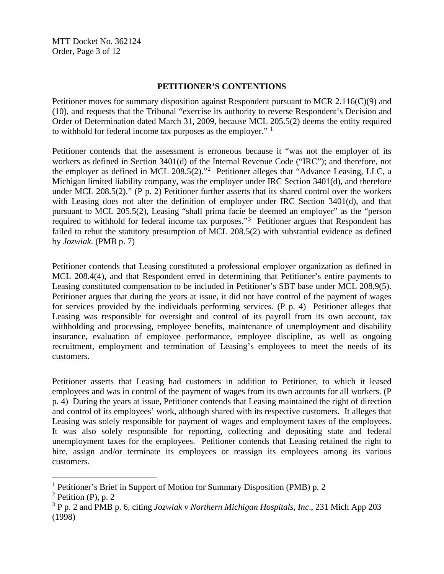MTT Docket No. 362124 Order, Page 3 of 12

### **PETITIONER'S CONTENTIONS**

Petitioner moves for summary disposition against Respondent pursuant to MCR 2.116(C)(9) and (10), and requests that the Tribunal "exercise its authority to reverse Respondent's Decision and Order of Determination dated March 31, 2009, because MCL 205.5(2) deems the entity required to withhold for federal income tax purposes as the employer." <sup>[1](#page-2-0)</sup>

Petitioner contends that the assessment is erroneous because it "was not the employer of its workers as defined in Section 3401(d) of the Internal Revenue Code ("IRC"); and therefore, not the employer as defined in MCL [2](#page-2-1)08.5(2)."<sup>2</sup> Petitioner alleges that "Advance Leasing, LLC, a Michigan limited liability company, was the employer under IRC Section 3401(d), and therefore under MCL 208.5(2)." (P p. 2) Petitioner further asserts that its shared control over the workers with Leasing does not alter the definition of employer under IRC Section 3401(d), and that pursuant to MCL 205.5(2), Leasing "shall prima facie be deemed an employer" as the "person required to withhold for federal income tax purposes."<sup>[3](#page-2-2)</sup> Petitioner argues that Respondent has failed to rebut the statutory presumption of MCL 208.5(2) with substantial evidence as defined by *Jozwiak*. (PMB p. 7)

Petitioner contends that Leasing constituted a professional employer organization as defined in MCL 208.4(4), and that Respondent erred in determining that Petitioner's entire payments to Leasing constituted compensation to be included in Petitioner's SBT base under MCL 208.9(5). Petitioner argues that during the years at issue, it did not have control of the payment of wages for services provided by the individuals performing services. (P p. 4) Petitioner alleges that Leasing was responsible for oversight and control of its payroll from its own account, tax withholding and processing, employee benefits, maintenance of unemployment and disability insurance, evaluation of employee performance, employee discipline, as well as ongoing recruitment, employment and termination of Leasing's employees to meet the needs of its customers.

Petitioner asserts that Leasing had customers in addition to Petitioner, to which it leased employees and was in control of the payment of wages from its own accounts for all workers. (P p. 4) During the years at issue, Petitioner contends that Leasing maintained the right of direction and control of its employees' work, although shared with its respective customers. It alleges that Leasing was solely responsible for payment of wages and employment taxes of the employees. It was also solely responsible for reporting, collecting and depositing state and federal unemployment taxes for the employees. Petitioner contends that Leasing retained the right to hire, assign and/or terminate its employees or reassign its employees among its various customers.

<span id="page-2-0"></span><sup>&</sup>lt;sup>1</sup> Petitioner's Brief in Support of Motion for Summary Disposition (PMB) p. 2

<span id="page-2-1"></span> $2$  Petition (P), p. 2

<span id="page-2-2"></span><sup>3</sup> P p. 2 and PMB p. 6, citing *Jozwiak v Northern Michigan Hospitals, Inc*., 231 Mich App 203 (1998)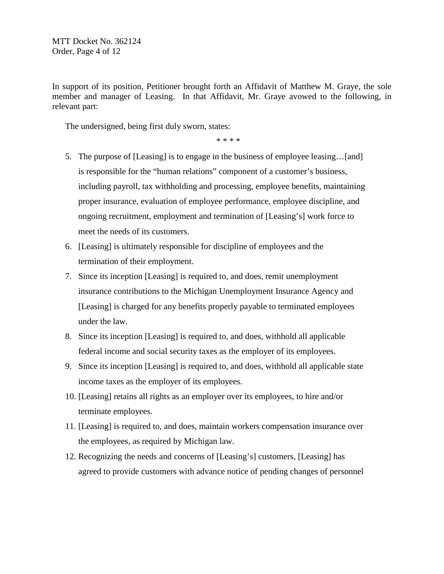In support of its position, Petitioner brought forth an Affidavit of Matthew M. Graye, the sole member and manager of Leasing. In that Affidavit, Mr. Graye avowed to the following, in relevant part:

The undersigned, being first duly sworn, states:

\* \* \* \*

- 5. The purpose of [Leasing] is to engage in the business of employee leasing…[and] is responsible for the "human relations" component of a customer's business, including payroll, tax withholding and processing, employee benefits, maintaining proper insurance, evaluation of employee performance, employee discipline, and ongoing recruitment, employment and termination of [Leasing's] work force to meet the needs of its customers.
- 6. [Leasing] is ultimately responsible for discipline of employees and the termination of their employment.
- 7. Since its inception [Leasing] is required to, and does, remit unemployment insurance contributions to the Michigan Unemployment Insurance Agency and [Leasing] is charged for any benefits properly payable to terminated employees under the law.
- 8. Since its inception [Leasing] is required to, and does, withhold all applicable federal income and social security taxes as the employer of its employees.
- 9. Since its inception [Leasing] is required to, and does, withhold all applicable state income taxes as the employer of its employees.
- 10. [Leasing] retains all rights as an employer over its employees, to hire and/or terminate employees.
- 11. [Leasing] is required to, and does, maintain workers compensation insurance over the employees, as required by Michigan law.
- 12. Recognizing the needs and concerns of [Leasing's] customers, [Leasing] has agreed to provide customers with advance notice of pending changes of personnel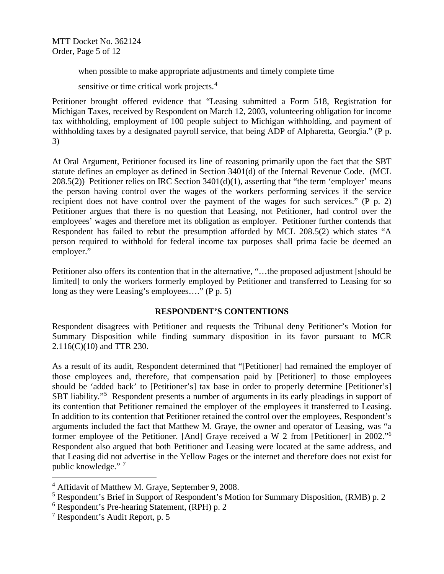MTT Docket No. 362124 Order, Page 5 of 12

when possible to make appropriate adjustments and timely complete time

sensitive or time critical work projects.<sup>[4](#page-4-0)</sup>

Petitioner brought offered evidence that "Leasing submitted a Form 518, Registration for Michigan Taxes, received by Respondent on March 12, 2003, volunteering obligation for income tax withholding, employment of 100 people subject to Michigan withholding, and payment of withholding taxes by a designated payroll service, that being ADP of Alpharetta, Georgia." (P p. 3)

At Oral Argument, Petitioner focused its line of reasoning primarily upon the fact that the SBT statute defines an employer as defined in Section 3401(d) of the Internal Revenue Code. (MCL 208.5(2)) Petitioner relies on IRC Section 3401(d)(1), asserting that "the term 'employer' means the person having control over the wages of the workers performing services if the service recipient does not have control over the payment of the wages for such services." (P p. 2) Petitioner argues that there is no question that Leasing, not Petitioner, had control over the employees' wages and therefore met its obligation as employer. Petitioner further contends that Respondent has failed to rebut the presumption afforded by MCL 208.5(2) which states "A person required to withhold for federal income tax purposes shall prima facie be deemed an employer."

Petitioner also offers its contention that in the alternative, "…the proposed adjustment [should be limited] to only the workers formerly employed by Petitioner and transferred to Leasing for so long as they were Leasing's employees…." (P p. 5)

# **RESPONDENT'S CONTENTIONS**

Respondent disagrees with Petitioner and requests the Tribunal deny Petitioner's Motion for Summary Disposition while finding summary disposition in its favor pursuant to MCR 2.116(C)(10) and TTR 230.

As a result of its audit, Respondent determined that "[Petitioner] had remained the employer of those employees and, therefore, that compensation paid by [Petitioner] to those employees should be 'added back' to [Petitioner's] tax base in order to properly determine [Petitioner's] SBT liability."<sup>[5](#page-4-1)</sup> Respondent presents a number of arguments in its early pleadings in support of its contention that Petitioner remained the employer of the employees it transferred to Leasing. In addition to its contention that Petitioner retained the control over the employees, Respondent's arguments included the fact that Matthew M. Graye, the owner and operator of Leasing, was "a former employee of the Petitioner. [And] Graye received a W 2 from [Petitioner] in 2002."[6](#page-4-2) Respondent also argued that both Petitioner and Leasing were located at the same address, and that Leasing did not advertise in the Yellow Pages or the internet and therefore does not exist for public knowledge."<sup>[7](#page-4-3)</sup>

<span id="page-4-0"></span> <sup>4</sup> Affidavit of Matthew M. Graye, September 9, 2008.

<span id="page-4-1"></span><sup>5</sup> Respondent's Brief in Support of Respondent's Motion for Summary Disposition, (RMB) p. 2

<span id="page-4-2"></span><sup>6</sup> Respondent's Pre-hearing Statement, (RPH) p. 2

<span id="page-4-3"></span><sup>7</sup> Respondent's Audit Report, p. 5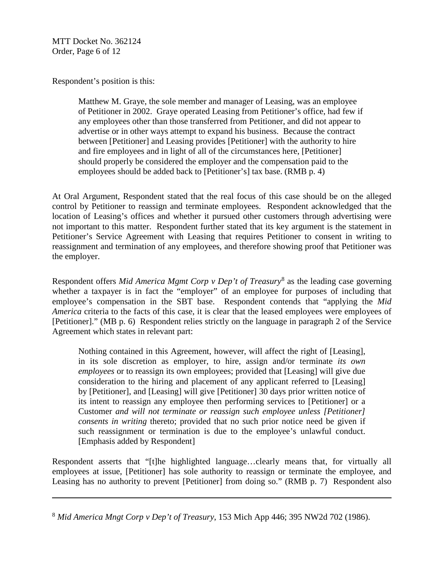MTT Docket No. 362124 Order, Page 6 of 12

 $\overline{a}$ 

Respondent's position is this:

Matthew M. Graye, the sole member and manager of Leasing, was an employee of Petitioner in 2002. Graye operated Leasing from Petitioner's office, had few if any employees other than those transferred from Petitioner, and did not appear to advertise or in other ways attempt to expand his business. Because the contract between [Petitioner] and Leasing provides [Petitioner] with the authority to hire and fire employees and in light of all of the circumstances here, [Petitioner] should properly be considered the employer and the compensation paid to the employees should be added back to [Petitioner's] tax base. (RMB p. 4)

At Oral Argument, Respondent stated that the real focus of this case should be on the alleged control by Petitioner to reassign and terminate employees. Respondent acknowledged that the location of Leasing's offices and whether it pursued other customers through advertising were not important to this matter. Respondent further stated that its key argument is the statement in Petitioner's Service Agreement with Leasing that requires Petitioner to consent in writing to reassignment and termination of any employees, and therefore showing proof that Petitioner was the employer.

Respondent offers *Mid America Mgmt Corp v Dep't of Treasury*[8](#page-5-0) as the leading case governing whether a taxpayer is in fact the "employer" of an employee for purposes of including that employee's compensation in the SBT base. Respondent contends that "applying the *Mid America* criteria to the facts of this case, it is clear that the leased employees were employees of [Petitioner]." (MB p. 6) Respondent relies strictly on the language in paragraph 2 of the Service Agreement which states in relevant part:

Nothing contained in this Agreement, however, will affect the right of [Leasing], in its sole discretion as employer, to hire, assign and/or terminate *its own employees* or to reassign its own employees; provided that [Leasing] will give due consideration to the hiring and placement of any applicant referred to [Leasing] by [Petitioner], and [Leasing] will give [Petitioner] 30 days prior written notice of its intent to reassign any employee then performing services to [Petitioner] or a Customer *and will not terminate or reassign such employee unless [Petitioner] consents in writing* thereto; provided that no such prior notice need be given if such reassignment or termination is due to the employee's unlawful conduct. [Emphasis added by Respondent]

Respondent asserts that "[t]he highlighted language…clearly means that, for virtually all employees at issue, [Petitioner] has sole authority to reassign or terminate the employee, and Leasing has no authority to prevent [Petitioner] from doing so." (RMB p. 7) Respondent also

<span id="page-5-0"></span><sup>8</sup> *Mid America Mngt Corp v Dep't of Treasury*, 153 Mich App 446; 395 NW2d 702 (1986).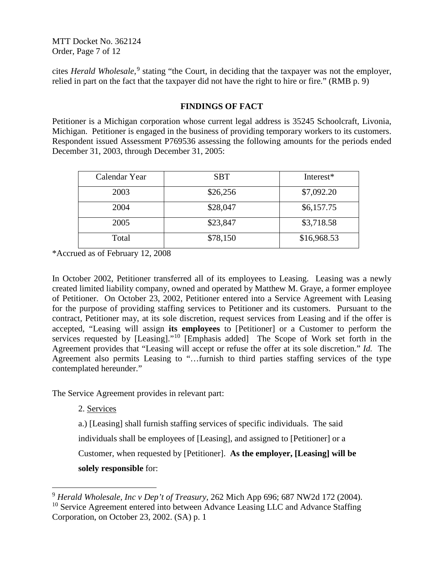MTT Docket No. 362124 Order, Page 7 of 12

cites *Herald Wholesale*, [9](#page-6-0) stating "the Court, in deciding that the taxpayer was not the employer, relied in part on the fact that the taxpayer did not have the right to hire or fire." (RMB p. 9)

# **FINDINGS OF FACT**

Petitioner is a Michigan corporation whose current legal address is 35245 Schoolcraft, Livonia, Michigan. Petitioner is engaged in the business of providing temporary workers to its customers. Respondent issued Assessment P769536 assessing the following amounts for the periods ended December 31, 2003, through December 31, 2005:

| Calendar Year | <b>SBT</b> | Interest*   |
|---------------|------------|-------------|
| 2003          | \$26,256   | \$7,092.20  |
| 2004          | \$28,047   | \$6,157.75  |
| 2005          | \$23,847   | \$3,718.58  |
| Total         | \$78,150   | \$16,968.53 |

\*Accrued as of February 12, 2008

In October 2002, Petitioner transferred all of its employees to Leasing. Leasing was a newly created limited liability company, owned and operated by Matthew M. Graye, a former employee of Petitioner. On October 23, 2002, Petitioner entered into a Service Agreement with Leasing for the purpose of providing staffing services to Petitioner and its customers. Pursuant to the contract, Petitioner may, at its sole discretion, request services from Leasing and if the offer is accepted, "Leasing will assign **its employees** to [Petitioner] or a Customer to perform the services requested by [Leasing]."<sup>[10](#page-6-1)</sup> [Emphasis added] The Scope of Work set forth in the Agreement provides that "Leasing will accept or refuse the offer at its sole discretion." *Id.* The Agreement also permits Leasing to "…furnish to third parties staffing services of the type contemplated hereunder."

The Service Agreement provides in relevant part:

2. Services

a.) [Leasing] shall furnish staffing services of specific individuals. The said

individuals shall be employees of [Leasing], and assigned to [Petitioner] or a

Customer, when requested by [Petitioner]. **As the employer, [Leasing] will be solely responsible** for:

<span id="page-6-1"></span><span id="page-6-0"></span> <sup>9</sup> *Herald Wholesale, Inc v Dep't of Treasury,* 262 Mich App 696; 687 NW2d 172 (2004).  $10$  Service Agreement entered into between Advance Leasing LLC and Advance Staffing Corporation, on October 23, 2002. (SA) p. 1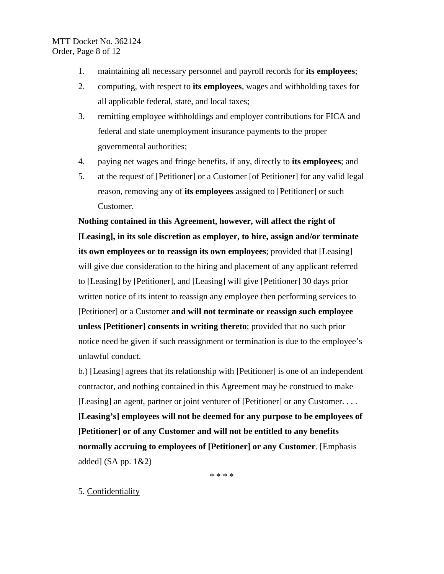- 1. maintaining all necessary personnel and payroll records for **its employees**;
- 2. computing, with respect to **its employees**, wages and withholding taxes for all applicable federal, state, and local taxes;
- 3. remitting employee withholdings and employer contributions for FICA and federal and state unemployment insurance payments to the proper governmental authorities;
- 4. paying net wages and fringe benefits, if any, directly to **its employees**; and
- 5. at the request of [Petitioner] or a Customer [of Petitioner] for any valid legal reason, removing any of **its employees** assigned to [Petitioner] or such Customer.

**Nothing contained in this Agreement, however, will affect the right of [Leasing], in its sole discretion as employer, to hire, assign and/or terminate its own employees or to reassign its own employees**; provided that [Leasing] will give due consideration to the hiring and placement of any applicant referred to [Leasing] by [Petitioner], and [Leasing] will give [Petitioner] 30 days prior written notice of its intent to reassign any employee then performing services to [Petitioner] or a Customer **and will not terminate or reassign such employee unless [Petitioner] consents in writing thereto**; provided that no such prior notice need be given if such reassignment or termination is due to the employee's unlawful conduct.

b.) [Leasing] agrees that its relationship with [Petitioner] is one of an independent contractor, and nothing contained in this Agreement may be construed to make [Leasing] an agent, partner or joint venturer of [Petitioner] or any Customer. . . . **[Leasing's] employees will not be deemed for any purpose to be employees of [Petitioner] or of any Customer and will not be entitled to any benefits normally accruing to employees of [Petitioner] or any Customer**. [Emphasis added]  $(SA pp. 1&&2)$ 

\* \* \* \*

# 5. Confidentiality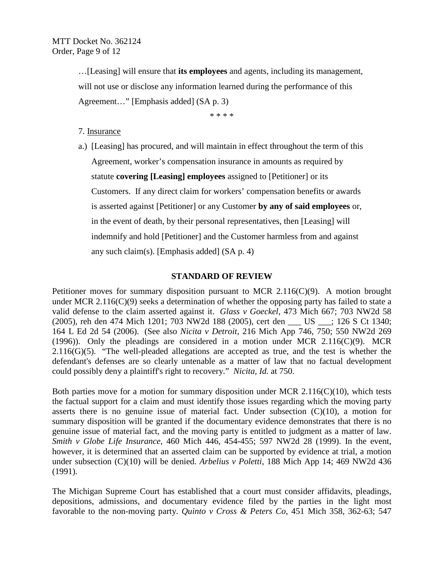…[Leasing] will ensure that **its employees** and agents, including its management, will not use or disclose any information learned during the performance of this Agreement…" [Emphasis added] (SA p. 3)

\* \* \* \*

## 7. Insurance

a.) [Leasing] has procured, and will maintain in effect throughout the term of this Agreement, worker's compensation insurance in amounts as required by statute **covering [Leasing] employees** assigned to [Petitioner] or its Customers. If any direct claim for workers' compensation benefits or awards is asserted against [Petitioner] or any Customer **by any of said employees** or, in the event of death, by their personal representatives, then [Leasing] will indemnify and hold [Petitioner] and the Customer harmless from and against any such claim(s). [Emphasis added] (SA p. 4)

### **STANDARD OF REVIEW**

Petitioner moves for summary disposition pursuant to MCR 2.116(C)(9). A motion brought under MCR 2.116(C)(9) seeks a determination of whether the opposing party has failed to state a valid defense to the claim asserted against it. *Glass v Goeckel,* 473 Mich 667; 703 NW2d 58 (2005), reh den 474 Mich 1201; 703 NW2d 188 (2005), cert den \_\_\_ US \_\_\_; 126 S Ct 1340; 164 L Ed 2d 54 (2006). (See also *Nicita v Detroit*, 216 Mich App 746, 750; 550 NW2d 269 (1996)). Only the pleadings are considered in a motion under MCR 2.11 $6(C)(9)$ . MCR  $2.116(G)(5)$ . "The well-pleaded allegations are accepted as true, and the test is whether the defendant's defenses are so clearly untenable as a matter of law that no factual development could possibly deny a plaintiff's right to recovery." *Nicita, Id.* at 750.

Both parties move for a motion for summary disposition under MCR  $2.116(C)(10)$ , which tests the factual support for a claim and must identify those issues regarding which the moving party asserts there is no genuine issue of material fact. Under subsection  $(C)(10)$ , a motion for summary disposition will be granted if the documentary evidence demonstrates that there is no genuine issue of material fact, and the moving party is entitled to judgment as a matter of law. *Smith v Globe Life Insurance*, 460 Mich 446, 454-455; 597 NW2d 28 (1999). In the event, however, it is determined that an asserted claim can be supported by evidence at trial, a motion under subsection (C)(10) will be denied. *Arbelius v Poletti*, 188 Mich App 14; 469 NW2d 436 (1991).

The Michigan Supreme Court has established that a court must consider affidavits, pleadings, depositions, admissions, and documentary evidence filed by the parties in the light most favorable to the non-moving party. *Quinto v Cross & Peters Co*, 451 Mich 358, 362-63; 547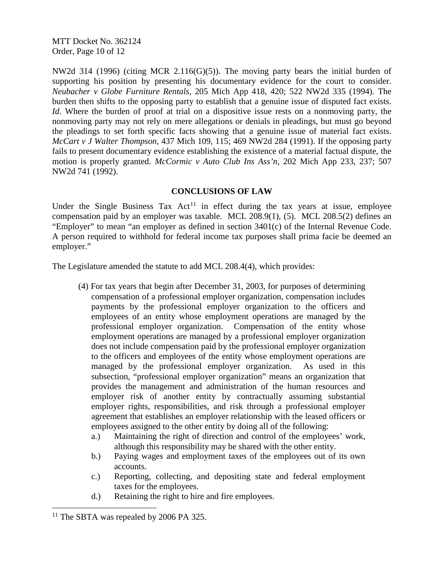MTT Docket No. 362124 Order, Page 10 of 12

NW2d 314 (1996) (citing MCR 2.116(G)(5)). The moving party bears the initial burden of supporting his position by presenting his documentary evidence for the court to consider. *Neubacher v Globe Furniture Rentals*, 205 Mich App 418, 420; 522 NW2d 335 (1994). The burden then shifts to the opposing party to establish that a genuine issue of disputed fact exists. *Id*. Where the burden of proof at trial on a dispositive issue rests on a nonmoving party, the nonmoving party may not rely on mere allegations or denials in pleadings, but must go beyond the pleadings to set forth specific facts showing that a genuine issue of material fact exists. *McCart v J Walter Thompson*, 437 Mich 109, 115; 469 NW2d 284 (1991). If the opposing party fails to present documentary evidence establishing the existence of a material factual dispute, the motion is properly granted. *McCormic v Auto Club Ins Ass'n*, 202 Mich App 233, 237; 507 NW2d 741 (1992).

## **CONCLUSIONS OF LAW**

Under the Single Business Tax  $Act<sup>11</sup>$  $Act<sup>11</sup>$  $Act<sup>11</sup>$  in effect during the tax years at issue, employee compensation paid by an employer was taxable. MCL 208.9(1), (5). MCL 208.5(2) defines an "Employer" to mean "an employer as defined in section 3401(c) of the Internal Revenue Code. A person required to withhold for federal income tax purposes shall prima facie be deemed an employer."

The Legislature amended the statute to add MCL 208.4(4), which provides:

- (4) For tax years that begin after December 31, 2003, for purposes of determining compensation of a professional employer organization, compensation includes payments by the professional employer organization to the officers and employees of an entity whose employment operations are managed by the professional employer organization. Compensation of the entity whose employment operations are managed by a professional employer organization does not include compensation paid by the professional employer organization to the officers and employees of the entity whose employment operations are managed by the professional employer organization. As used in this subsection, "professional employer organization" means an organization that provides the management and administration of the human resources and employer risk of another entity by contractually assuming substantial employer rights, responsibilities, and risk through a professional employer agreement that establishes an employer relationship with the leased officers or employees assigned to the other entity by doing all of the following:
	- a.) Maintaining the right of direction and control of the employees' work, although this responsibility may be shared with the other entity.
	- b.) Paying wages and employment taxes of the employees out of its own accounts.
	- c.) Reporting, collecting, and depositing state and federal employment taxes for the employees.
	- d.) Retaining the right to hire and fire employees.

<span id="page-9-0"></span><sup>&</sup>lt;sup>11</sup> The SBTA was repealed by 2006 PA 325.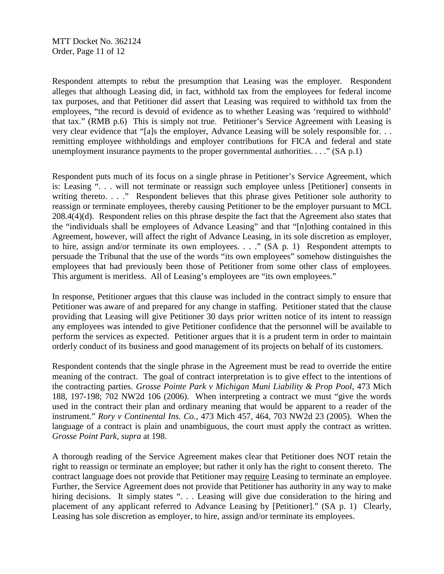Respondent attempts to rebut the presumption that Leasing was the employer. Respondent alleges that although Leasing did, in fact, withhold tax from the employees for federal income tax purposes, and that Petitioner did assert that Leasing was required to withhold tax from the employees, "the record is devoid of evidence as to whether Leasing was 'required to withhold' that tax." (RMB p.6) This is simply not true. Petitioner's Service Agreement with Leasing is very clear evidence that "[a]s the employer, Advance Leasing will be solely responsible for. . . remitting employee withholdings and employer contributions for FICA and federal and state unemployment insurance payments to the proper governmental authorities. . . ." (SA p.1)

Respondent puts much of its focus on a single phrase in Petitioner's Service Agreement, which is: Leasing ". . . will not terminate or reassign such employee unless [Petitioner] consents in writing thereto. . . ." Respondent believes that this phrase gives Petitioner sole authority to reassign or terminate employees, thereby causing Petitioner to be the employer pursuant to MCL 208.4(4)(d). Respondent relies on this phrase despite the fact that the Agreement also states that the "individuals shall be employees of Advance Leasing" and that "[n]othing contained in this Agreement, however, will affect the right of Advance Leasing, in its sole discretion as employer, to hire, assign and/or terminate its own employees. . . ." (SA p. 1) Respondent attempts to persuade the Tribunal that the use of the words "its own employees" somehow distinguishes the employees that had previously been those of Petitioner from some other class of employees. This argument is meritless. All of Leasing's employees are "its own employees."

In response, Petitioner argues that this clause was included in the contract simply to ensure that Petitioner was aware of and prepared for any change in staffing. Petitioner stated that the clause providing that Leasing will give Petitioner 30 days prior written notice of its intent to reassign any employees was intended to give Petitioner confidence that the personnel will be available to perform the services as expected. Petitioner argues that it is a prudent term in order to maintain orderly conduct of its business and good management of its projects on behalf of its customers.

Respondent contends that the single phrase in the Agreement must be read to override the entire meaning of the contract. The goal of contract interpretation is to give effect to the intentions of the contracting parties. *Grosse Pointe Park v Michigan Muni Liability & Prop Pool*, 473 Mich 188, 197-198; 702 NW2d 106 (2006). When interpreting a contract we must "give the words used in the contract their plan and ordinary meaning that would be apparent to a reader of the instrument." *Rory v Continental Ins. Co.,* 473 Mich 457, 464, 703 NW2d 23 (2005). When the language of a contract is plain and unambiguous, the court must apply the contract as written. *Grosse Point Park, supra* at 198.

A thorough reading of the Service Agreement makes clear that Petitioner does NOT retain the right to reassign or terminate an employee; but rather it only has the right to consent thereto. The contract language does not provide that Petitioner may require Leasing to terminate an employee. Further, the Service Agreement does not provide that Petitioner has authority in any way to make hiring decisions. It simply states "... Leasing will give due consideration to the hiring and placement of any applicant referred to Advance Leasing by [Petitioner]." (SA p. 1) Clearly, Leasing has sole discretion as employer, to hire, assign and/or terminate its employees.